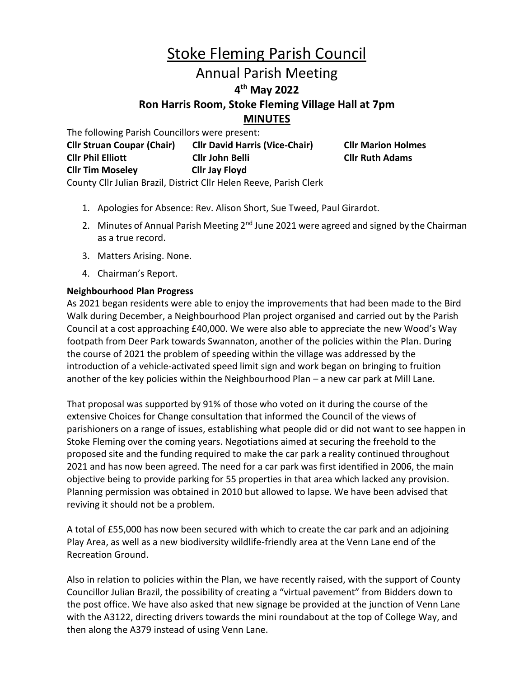# Stoke Fleming Parish Council Annual Parish Meeting **4 th May 2022 Ron Harris Room, Stoke Fleming Village Hall at 7pm MINUTES**

The following Parish Councillors were present:

**Cllr Struan Coupar (Chair) Cllr David Harris (Vice-Chair) Cllr Marion Holmes Cllr Phil Elliott Cllr John Belli Cllr Ruth Adams Cllr Tim Moseley Cllr Jay Floyd** County Cllr Julian Brazil, District Cllr Helen Reeve, Parish Clerk

1. Apologies for Absence: Rev. Alison Short, Sue Tweed, Paul Girardot.

- 2. Minutes of Annual Parish Meeting 2<sup>nd</sup> June 2021 were agreed and signed by the Chairman as a true record.
- 3. Matters Arising. None.
- 4. Chairman's Report.

# **Neighbourhood Plan Progress**

As 2021 began residents were able to enjoy the improvements that had been made to the Bird Walk during December, a Neighbourhood Plan project organised and carried out by the Parish Council at a cost approaching £40,000. We were also able to appreciate the new Wood's Way footpath from Deer Park towards Swannaton, another of the policies within the Plan. During the course of 2021 the problem of speeding within the village was addressed by the introduction of a vehicle-activated speed limit sign and work began on bringing to fruition another of the key policies within the Neighbourhood Plan – a new car park at Mill Lane.

That proposal was supported by 91% of those who voted on it during the course of the extensive Choices for Change consultation that informed the Council of the views of parishioners on a range of issues, establishing what people did or did not want to see happen in Stoke Fleming over the coming years. Negotiations aimed at securing the freehold to the proposed site and the funding required to make the car park a reality continued throughout 2021 and has now been agreed. The need for a car park was first identified in 2006, the main objective being to provide parking for 55 properties in that area which lacked any provision. Planning permission was obtained in 2010 but allowed to lapse. We have been advised that reviving it should not be a problem.

A total of £55,000 has now been secured with which to create the car park and an adjoining Play Area, as well as a new biodiversity wildlife-friendly area at the Venn Lane end of the Recreation Ground.

Also in relation to policies within the Plan, we have recently raised, with the support of County Councillor Julian Brazil, the possibility of creating a "virtual pavement" from Bidders down to the post office. We have also asked that new signage be provided at the junction of Venn Lane with the A3122, directing drivers towards the mini roundabout at the top of College Way, and then along the A379 instead of using Venn Lane.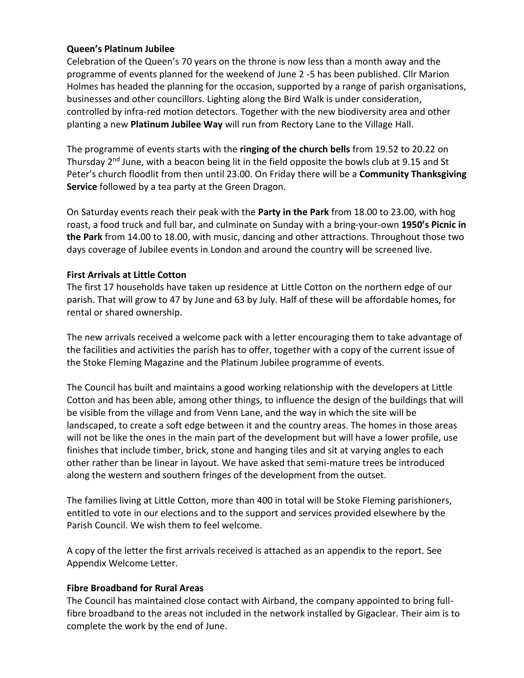# **Queen's Platinum Jubilee**

Celebration of the Queen's 70 years on the throne is now less than a month away and the programme of events planned for the weekend of June 2 -5 has been published. Cllr Marion Holmes has headed the planning for the occasion, supported by a range of parish organisations, businesses and other councillors. Lighting along the Bird Walk is under consideration, controlled by infra-red motion detectors. Together with the new biodiversity area and other planting a new **Platinum Jubilee Way** will run from Rectory Lane to the Village Hall.

The programme of events starts with the **ringing of the church bells** from 19.52 to 20.22 on Thursday  $2^{nd}$  June, with a beacon being lit in the field opposite the bowls club at 9.15 and St Peter's church floodlit from then until 23.00. On Friday there will be a **Community Thanksgiving Service** followed by a tea party at the Green Dragon.

On Saturday events reach their peak with the **Party in the Park** from 18.00 to 23.00, with hog roast, a food truck and full bar, and culminate on Sunday with a bring-your-own **1950's Picnic in the Park** from 14.00 to 18.00, with music, dancing and other attractions. Throughout those two days coverage of Jubilee events in London and around the country will be screened live.

# **First Arrivals at Little Cotton**

The first 17 households have taken up residence at Little Cotton on the northern edge of our parish. That will grow to 47 by June and 63 by July. Half of these will be affordable homes, for rental or shared ownership.

The new arrivals received a welcome pack with a letter encouraging them to take advantage of the facilities and activities the parish has to offer, together with a copy of the current issue of the Stoke Fleming Magazine and the Platinum Jubilee programme of events.

The Council has built and maintains a good working relationship with the developers at Little Cotton and has been able, among other things, to influence the design of the buildings that will be visible from the village and from Venn Lane, and the way in which the site will be landscaped, to create a soft edge between it and the country areas. The homes in those areas will not be like the ones in the main part of the development but will have a lower profile, use finishes that include timber, brick, stone and hanging tiles and sit at varying angles to each other rather than be linear in layout. We have asked that semi-mature trees be introduced along the western and southern fringes of the development from the outset.

The families living at Little Cotton, more than 400 in total will be Stoke Fleming parishioners, entitled to vote in our elections and to the support and services provided elsewhere by the Parish Council. We wish them to feel welcome.

A copy of the letter the first arrivals received is attached as an appendix to the report. See Appendix Welcome Letter.

#### **Fibre Broadband for Rural Areas**

The Council has maintained close contact with Airband, the company appointed to bring fullfibre broadband to the areas not included in the network installed by Gigaclear. Their aim is to complete the work by the end of June.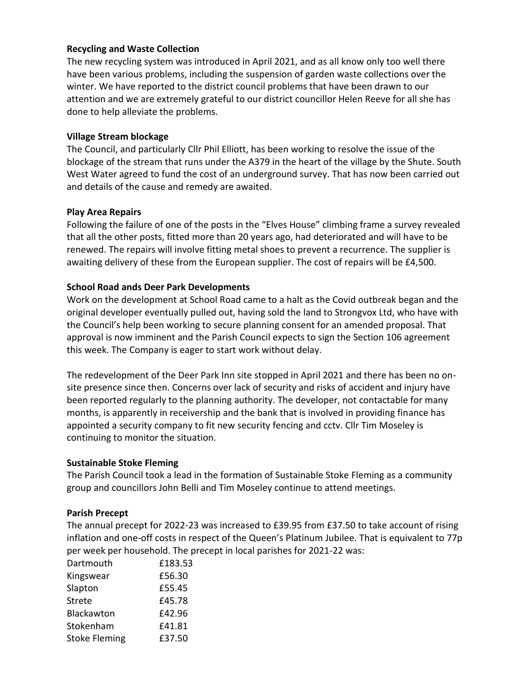# **Recycling and Waste Collection**

The new recycling system was introduced in April 2021, and as all know only too well there have been various problems, including the suspension of garden waste collections over the winter. We have reported to the district council problems that have been drawn to our attention and we are extremely grateful to our district councillor Helen Reeve for all she has done to help alleviate the problems.

## **Village Stream blockage**

The Council, and particularly Cllr Phil Elliott, has been working to resolve the issue of the blockage of the stream that runs under the A379 in the heart of the village by the Shute. South West Water agreed to fund the cost of an underground survey. That has now been carried out and details of the cause and remedy are awaited.

# **Play Area Repairs**

Following the failure of one of the posts in the "Elves House" climbing frame a survey revealed that all the other posts, fitted more than 20 years ago, had deteriorated and will have to be renewed. The repairs will involve fitting metal shoes to prevent a recurrence. The supplier is awaiting delivery of these from the European supplier. The cost of repairs will be £4,500.

# **School Road ands Deer Park Developments**

Work on the development at School Road came to a halt as the Covid outbreak began and the original developer eventually pulled out, having sold the land to Strongvox Ltd, who have with the Council's help been working to secure planning consent for an amended proposal. That approval is now imminent and the Parish Council expects to sign the Section 106 agreement this week. The Company is eager to start work without delay.

The redevelopment of the Deer Park Inn site stopped in April 2021 and there has been no onsite presence since then. Concerns over lack of security and risks of accident and injury have been reported regularly to the planning authority. The developer, not contactable for many months, is apparently in receivership and the bank that is involved in providing finance has appointed a security company to fit new security fencing and cctv. Cllr Tim Moseley is continuing to monitor the situation.

#### **Sustainable Stoke Fleming**

The Parish Council took a lead in the formation of Sustainable Stoke Fleming as a community group and councillors John Belli and Tim Moseley continue to attend meetings.

#### **Parish Precept**

The annual precept for 2022-23 was increased to £39.95 from £37.50 to take account of rising inflation and one-off costs in respect of the Queen's Platinum Jubilee. That is equivalent to 77p per week per household. The precept in local parishes for 2021-22 was:

| Dartmouth            | £183.53 |
|----------------------|---------|
| Kingswear            | £56.30  |
| Slapton              | £55.45  |
| <b>Strete</b>        | £45.78  |
| Blackawton           | £42.96  |
| Stokenham            | £41.81  |
| <b>Stoke Fleming</b> | £37.50  |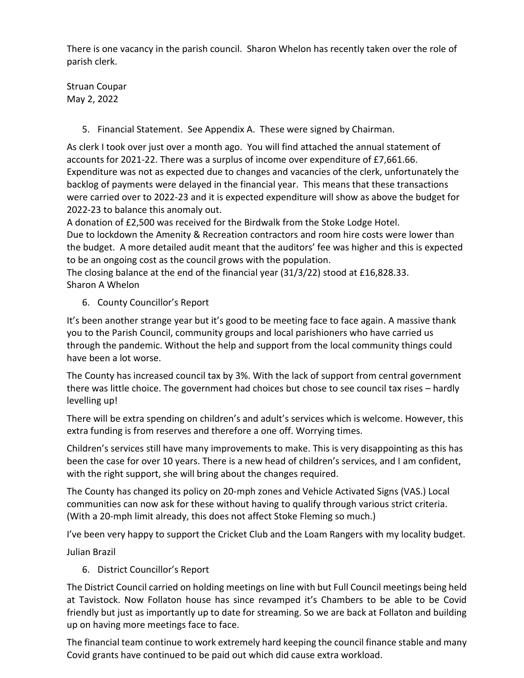There is one vacancy in the parish council. Sharon Whelon has recently taken over the role of parish clerk.

Struan Coupar May 2, 2022

5. Financial Statement. See Appendix A. These were signed by Chairman.

As clerk I took over just over a month ago. You will find attached the annual statement of accounts for 2021-22. There was a surplus of income over expenditure of £7,661.66. Expenditure was not as expected due to changes and vacancies of the clerk, unfortunately the backlog of payments were delayed in the financial year. This means that these transactions were carried over to 2022-23 and it is expected expenditure will show as above the budget for 2022-23 to balance this anomaly out.

A donation of £2,500 was received for the Birdwalk from the Stoke Lodge Hotel.

Due to lockdown the Amenity & Recreation contractors and room hire costs were lower than the budget. A more detailed audit meant that the auditors' fee was higher and this is expected to be an ongoing cost as the council grows with the population.

The closing balance at the end of the financial year (31/3/22) stood at £16,828.33. Sharon A Whelon

6. County Councillor's Report

It's been another strange year but it's good to be meeting face to face again. A massive thank you to the Parish Council, community groups and local parishioners who have carried us through the pandemic. Without the help and support from the local community things could have been a lot worse.

The County has increased council tax by 3%. With the lack of support from central government there was little choice. The government had choices but chose to see council tax rises – hardly levelling up!

There will be extra spending on children's and adult's services which is welcome. However, this extra funding is from reserves and therefore a one off. Worrying times.

Children's services still have many improvements to make. This is very disappointing as this has been the case for over 10 years. There is a new head of children's services, and I am confident, with the right support, she will bring about the changes required.

The County has changed its policy on 20-mph zones and Vehicle Activated Signs (VAS.) Local communities can now ask for these without having to qualify through various strict criteria. (With a 20-mph limit already, this does not affect Stoke Fleming so much.)

I've been very happy to support the Cricket Club and the Loam Rangers with my locality budget.

Julian Brazil

6. District Councillor's Report

The District Council carried on holding meetings on line with but Full Council meetings being held at Tavistock. Now Follaton house has since revamped it's Chambers to be able to be Covid friendly but just as importantly up to date for streaming. So we are back at Follaton and building up on having more meetings face to face.

The financial team continue to work extremely hard keeping the council finance stable and many Covid grants have continued to be paid out which did cause extra workload.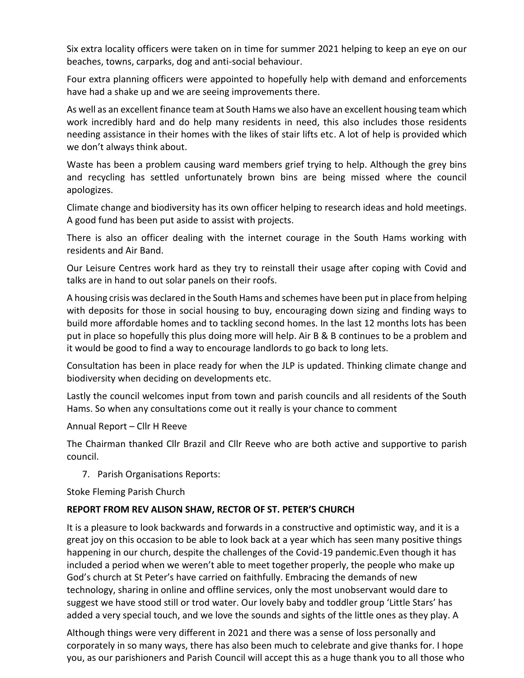Six extra locality officers were taken on in time for summer 2021 helping to keep an eye on our beaches, towns, carparks, dog and anti-social behaviour.

Four extra planning officers were appointed to hopefully help with demand and enforcements have had a shake up and we are seeing improvements there.

As well as an excellent finance team at South Hams we also have an excellent housing team which work incredibly hard and do help many residents in need, this also includes those residents needing assistance in their homes with the likes of stair lifts etc. A lot of help is provided which we don't always think about.

Waste has been a problem causing ward members grief trying to help. Although the grey bins and recycling has settled unfortunately brown bins are being missed where the council apologizes.

Climate change and biodiversity has its own officer helping to research ideas and hold meetings. A good fund has been put aside to assist with projects.

There is also an officer dealing with the internet courage in the South Hams working with residents and Air Band.

Our Leisure Centres work hard as they try to reinstall their usage after coping with Covid and talks are in hand to out solar panels on their roofs.

A housing crisis was declared in the South Hams and schemes have been put in place from helping with deposits for those in social housing to buy, encouraging down sizing and finding ways to build more affordable homes and to tackling second homes. In the last 12 months lots has been put in place so hopefully this plus doing more will help. Air B & B continues to be a problem and it would be good to find a way to encourage landlords to go back to long lets.

Consultation has been in place ready for when the JLP is updated. Thinking climate change and biodiversity when deciding on developments etc.

Lastly the council welcomes input from town and parish councils and all residents of the South Hams. So when any consultations come out it really is your chance to comment

Annual Report – Cllr H Reeve

The Chairman thanked Cllr Brazil and Cllr Reeve who are both active and supportive to parish council.

7. Parish Organisations Reports:

Stoke Fleming Parish Church

#### **REPORT FROM REV ALISON SHAW, RECTOR OF ST. PETER'S CHURCH**

It is a pleasure to look backwards and forwards in a constructive and optimistic way, and it is a great joy on this occasion to be able to look back at a year which has seen many positive things happening in our church, despite the challenges of the Covid-19 pandemic.Even though it has included a period when we weren't able to meet together properly, the people who make up God's church at St Peter's have carried on faithfully. Embracing the demands of new technology, sharing in online and offline services, only the most unobservant would dare to suggest we have stood still or trod water. Our lovely baby and toddler group 'Little Stars' has added a very special touch, and we love the sounds and sights of the little ones as they play. A

Although things were very different in 2021 and there was a sense of loss personally and corporately in so many ways, there has also been much to celebrate and give thanks for. I hope you, as our parishioners and Parish Council will accept this as a huge thank you to all those who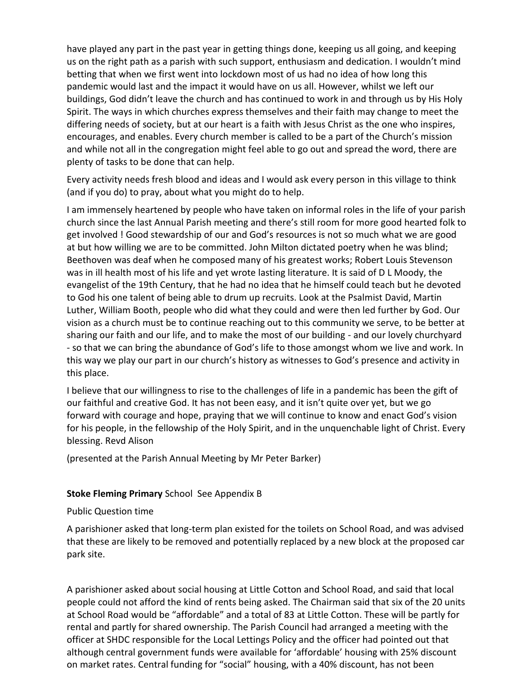have played any part in the past year in getting things done, keeping us all going, and keeping us on the right path as a parish with such support, enthusiasm and dedication. I wouldn't mind betting that when we first went into lockdown most of us had no idea of how long this pandemic would last and the impact it would have on us all. However, whilst we left our buildings, God didn't leave the church and has continued to work in and through us by His Holy Spirit. The ways in which churches express themselves and their faith may change to meet the differing needs of society, but at our heart is a faith with Jesus Christ as the one who inspires, encourages, and enables. Every church member is called to be a part of the Church's mission and while not all in the congregation might feel able to go out and spread the word, there are plenty of tasks to be done that can help.

Every activity needs fresh blood and ideas and I would ask every person in this village to think (and if you do) to pray, about what you might do to help.

I am immensely heartened by people who have taken on informal roles in the life of your parish church since the last Annual Parish meeting and there's still room for more good hearted folk to get involved ! Good stewardship of our and God's resources is not so much what we are good at but how willing we are to be committed. John Milton dictated poetry when he was blind; Beethoven was deaf when he composed many of his greatest works; Robert Louis Stevenson was in ill health most of his life and yet wrote lasting literature. It is said of D L Moody, the evangelist of the 19th Century, that he had no idea that he himself could teach but he devoted to God his one talent of being able to drum up recruits. Look at the Psalmist David, Martin Luther, William Booth, people who did what they could and were then led further by God. Our vision as a church must be to continue reaching out to this community we serve, to be better at sharing our faith and our life, and to make the most of our building - and our lovely churchyard - so that we can bring the abundance of God's life to those amongst whom we live and work. In this way we play our part in our church's history as witnesses to God's presence and activity in this place.

I believe that our willingness to rise to the challenges of life in a pandemic has been the gift of our faithful and creative God. It has not been easy, and it isn't quite over yet, but we go forward with courage and hope, praying that we will continue to know and enact God's vision for his people, in the fellowship of the Holy Spirit, and in the unquenchable light of Christ. Every blessing. Revd Alison

(presented at the Parish Annual Meeting by Mr Peter Barker)

#### **Stoke Fleming Primary** School See Appendix B

#### Public Question time

A parishioner asked that long-term plan existed for the toilets on School Road, and was advised that these are likely to be removed and potentially replaced by a new block at the proposed car park site.

A parishioner asked about social housing at Little Cotton and School Road, and said that local people could not afford the kind of rents being asked. The Chairman said that six of the 20 units at School Road would be "affordable" and a total of 83 at Little Cotton. These will be partly for rental and partly for shared ownership. The Parish Council had arranged a meeting with the officer at SHDC responsible for the Local Lettings Policy and the officer had pointed out that although central government funds were available for 'affordable' housing with 25% discount on market rates. Central funding for "social" housing, with a 40% discount, has not been